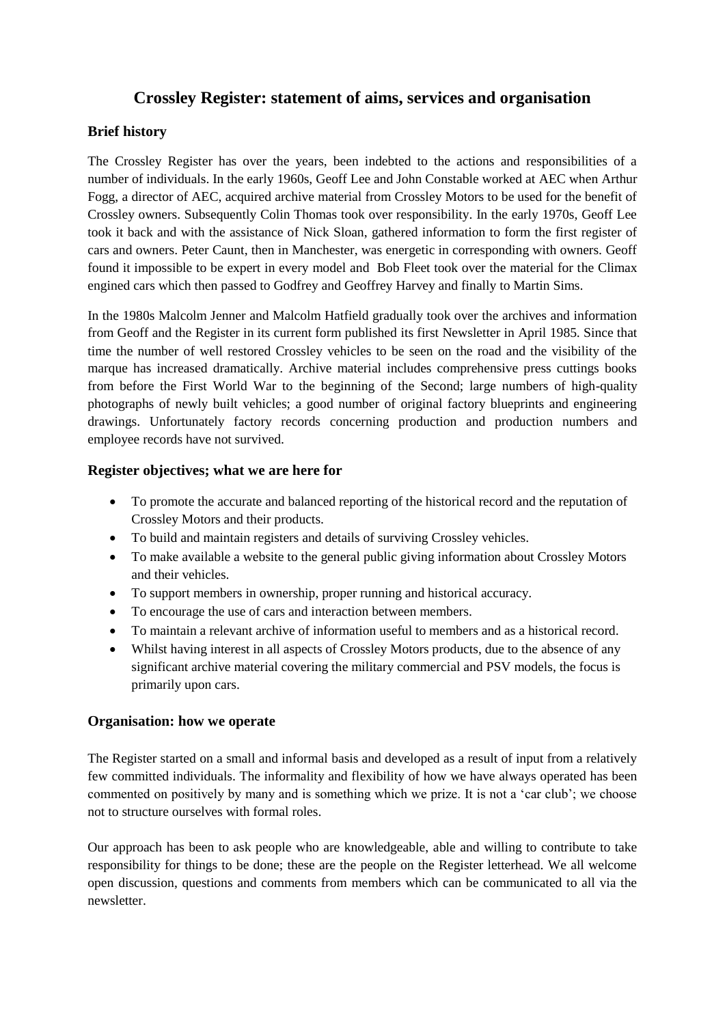## **Crossley Register: statement of aims, services and organisation**

## **Brief history**

The Crossley Register has over the years, been indebted to the actions and responsibilities of a number of individuals. In the early 1960s, Geoff Lee and John Constable worked at AEC when Arthur Fogg, a director of AEC, acquired archive material from Crossley Motors to be used for the benefit of Crossley owners. Subsequently Colin Thomas took over responsibility. In the early 1970s, Geoff Lee took it back and with the assistance of Nick Sloan, gathered information to form the first register of cars and owners. Peter Caunt, then in Manchester, was energetic in corresponding with owners. Geoff found it impossible to be expert in every model and Bob Fleet took over the material for the Climax engined cars which then passed to Godfrey and Geoffrey Harvey and finally to Martin Sims.

In the 1980s Malcolm Jenner and Malcolm Hatfield gradually took over the archives and information from Geoff and the Register in its current form published its first Newsletter in April 1985. Since that time the number of well restored Crossley vehicles to be seen on the road and the visibility of the marque has increased dramatically. Archive material includes comprehensive press cuttings books from before the First World War to the beginning of the Second; large numbers of high-quality photographs of newly built vehicles; a good number of original factory blueprints and engineering drawings. Unfortunately factory records concerning production and production numbers and employee records have not survived.

### **Register objectives; what we are here for**

- To promote the accurate and balanced reporting of the historical record and the reputation of Crossley Motors and their products.
- To build and maintain registers and details of surviving Crossley vehicles.
- To make available a website to the general public giving information about Crossley Motors and their vehicles.
- To support members in ownership, proper running and historical accuracy.
- To encourage the use of cars and interaction between members.
- To maintain a relevant archive of information useful to members and as a historical record.
- Whilst having interest in all aspects of Crossley Motors products, due to the absence of any significant archive material covering the military commercial and PSV models, the focus is primarily upon cars.

#### **Organisation: how we operate**

The Register started on a small and informal basis and developed as a result of input from a relatively few committed individuals. The informality and flexibility of how we have always operated has been commented on positively by many and is something which we prize. It is not a 'car club'; we choose not to structure ourselves with formal roles.

Our approach has been to ask people who are knowledgeable, able and willing to contribute to take responsibility for things to be done; these are the people on the Register letterhead. We all welcome open discussion, questions and comments from members which can be communicated to all via the newsletter.